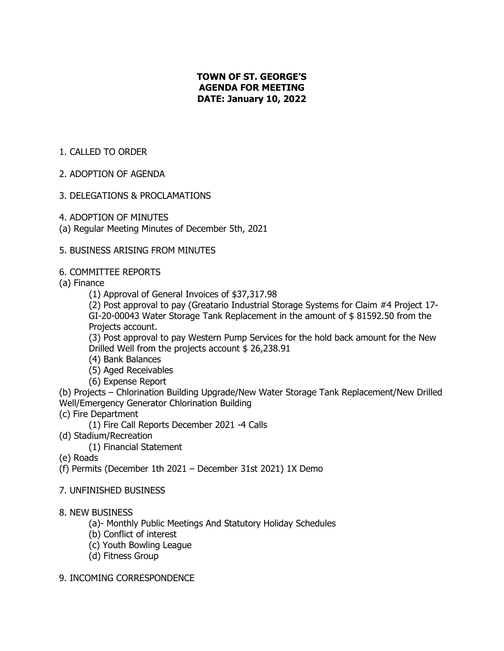# **TOWN OF ST. GEORGE'S AGENDA FOR MEETING DATE: January 10, 2022**

# 1. CALLED TO ORDER

### 2. ADOPTION OF AGENDA

### 3. DELEGATIONS & PROCLAMATIONS

- 4. ADOPTION OF MINUTES
- (a) Regular Meeting Minutes of December 5th, 2021

### 5. BUSINESS ARISING FROM MINUTES

### 6. COMMITTEE REPORTS

(a) Finance

(1) Approval of General Invoices of \$37,317.98

(2) Post approval to pay (Greatario Industrial Storage Systems for Claim #4 Project 17- GI-20-00043 Water Storage Tank Replacement in the amount of \$ 81592.50 from the Projects account.

(3) Post approval to pay Western Pump Services for the hold back amount for the New Drilled Well from the projects account \$ 26,238.91

- (4) Bank Balances
- (5) Aged Receivables
- (6) Expense Report

(b) Projects – Chlorination Building Upgrade/New Water Storage Tank Replacement/New Drilled Well/Emergency Generator Chlorination Building

- (c) Fire Department
	- (1) Fire Call Reports December 2021 -4 Calls
- (d) Stadium/Recreation

(1) Financial Statement

(e) Roads

(f) Permits (December 1th 2021 – December 31st 2021) 1X Demo

7. UNFINISHED BUSINESS

#### 8. NEW BUSINESS

- (a)- Monthly Public Meetings And Statutory Holiday Schedules
- (b) Conflict of interest
- (c) Youth Bowling League
- (d) Fitness Group

#### 9. INCOMING CORRESPONDENCE